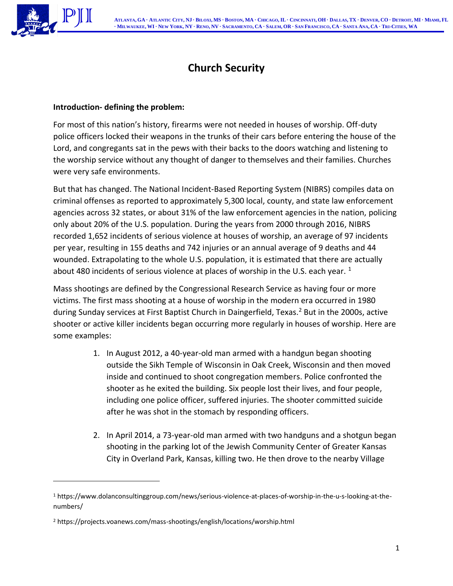

# **Church Security**

## **Introduction- defining the problem:**

For most of this nation's history, firearms were not needed in houses of worship. Off-duty police officers locked their weapons in the trunks of their cars before entering the house of the Lord, and congregants sat in the pews with their backs to the doors watching and listening to the worship service without any thought of danger to themselves and their families. Churches were very safe environments.

But that has changed. The National Incident-Based Reporting System (NIBRS) compiles data on criminal offenses as reported to approximately 5,300 local, county, and state law enforcement agencies across 32 states, or about 31% of the law enforcement agencies in the nation, policing only about 20% of the U.S. population. During the years from 2000 through 2016, NIBRS recorded 1,652 incidents of serious violence at houses of worship, an average of 97 incidents per year, resulting in 155 deaths and 742 injuries or an annual average of 9 deaths and 44 wounded. Extrapolating to the whole U.S. population, it is estimated that there are actually about 480 incidents of serious violence at places of worship in the U.S. each year.  $1$ 

Mass shootings are defined by the Congressional Research Service as having four or more victims. The first mass shooting at a house of worship in the modern era occurred in 1980 during Sunday services at First Baptist Church in Daingerfield, Texas.<sup>2</sup> But in the 2000s, active shooter or active killer incidents began occurring more regularly in houses of worship. Here are some examples:

- 1. In August 2012, a 40-year-old man armed with a handgun began shooting outside the Sikh Temple of Wisconsin in Oak Creek, Wisconsin and then moved inside and continued to shoot congregation members. Police confronted the shooter as he exited the building. Six people lost their lives, and four people, including one police officer, suffered injuries. The shooter committed suicide after he was shot in the stomach by responding officers.
- 2. In April 2014, a 73-year-old man armed with two handguns and a shotgun began shooting in the parking lot of the Jewish Community Center of Greater Kansas City in Overland Park, Kansas, killing two. He then drove to the nearby Village

<sup>1</sup> https://www.dolanconsultinggroup.com/news/serious-violence-at-places-of-worship-in-the-u-s-looking-at-thenumbers/

<sup>2</sup> https://projects.voanews.com/mass-shootings/english/locations/worship.html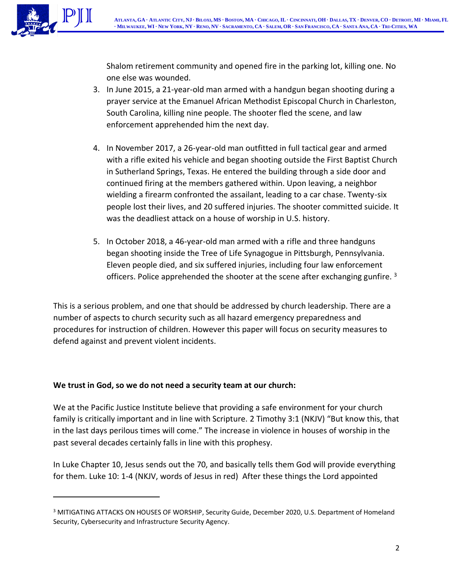

Shalom retirement community and opened fire in the parking lot, killing one. No one else was wounded.

- 3. In June 2015, a 21-year-old man armed with a handgun began shooting during a prayer service at the Emanuel African Methodist Episcopal Church in Charleston, South Carolina, killing nine people. The shooter fled the scene, and law enforcement apprehended him the next day.
- 4. In November 2017, a 26-year-old man outfitted in full tactical gear and armed with a rifle exited his vehicle and began shooting outside the First Baptist Church in Sutherland Springs, Texas. He entered the building through a side door and continued firing at the members gathered within. Upon leaving, a neighbor wielding a firearm confronted the assailant, leading to a car chase. Twenty-six people lost their lives, and 20 suffered injuries. The shooter committed suicide. It was the deadliest attack on a house of worship in U.S. history.
- 5. In October 2018, a 46-year-old man armed with a rifle and three handguns began shooting inside the Tree of Life Synagogue in Pittsburgh, Pennsylvania. Eleven people died, and six suffered injuries, including four law enforcement officers. Police apprehended the shooter at the scene after exchanging gunfire.  $3$

This is a serious problem, and one that should be addressed by church leadership. There are a number of aspects to church security such as all hazard emergency preparedness and procedures for instruction of children. However this paper will focus on security measures to defend against and prevent violent incidents.

# **We trust in God, so we do not need a security team at our church:**

We at the Pacific Justice Institute believe that providing a safe environment for your church family is critically important and in line with Scripture. 2 Timothy 3:1 (NKJV) "But know this, that in the last days perilous times will come." The increase in violence in houses of worship in the past several decades certainly falls in line with this prophesy.

In Luke Chapter 10, Jesus sends out the 70, and basically tells them God will provide everything for them. Luke 10: 1-4 (NKJV, words of Jesus in red) After these things the Lord appointed

<sup>&</sup>lt;sup>3</sup> MITIGATING ATTACKS ON HOUSES OF WORSHIP, Security Guide, December 2020, U.S. Department of Homeland Security, Cybersecurity and Infrastructure Security Agency.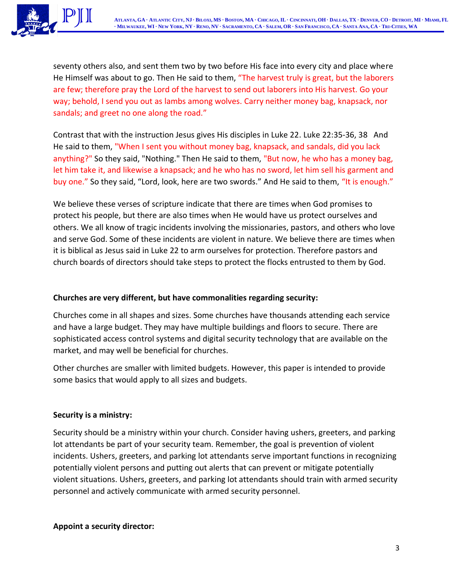

seventy others also, and sent them two by two before His face into every city and place where He Himself was about to go. Then He said to them, "The harvest truly is great, but the laborers are few; therefore pray the Lord of the harvest to send out laborers into His harvest. Go your way; behold, I send you out as lambs among wolves. Carry neither money bag, knapsack, nor sandals; and greet no one along the road."

Contrast that with the instruction Jesus gives His disciples in Luke 22. Luke 22:35-36, 38 And He said to them, "When I sent you without money bag, knapsack, and sandals, did you lack anything?" So they said, "Nothing." Then He said to them, "But now, he who has a money bag, let him take it, and likewise a knapsack; and he who has no sword, let him sell his garment and buy one." So they said, "Lord, look, here are two swords." And He said to them, "It is enough."

We believe these verses of scripture indicate that there are times when God promises to protect his people, but there are also times when He would have us protect ourselves and others. We all know of tragic incidents involving the missionaries, pastors, and others who love and serve God. Some of these incidents are violent in nature. We believe there are times when it is biblical as Jesus said in Luke 22 to arm ourselves for protection. Therefore pastors and church boards of directors should take steps to protect the flocks entrusted to them by God.

## **Churches are very different, but have commonalities regarding security:**

Churches come in all shapes and sizes. Some churches have thousands attending each service and have a large budget. They may have multiple buildings and floors to secure. There are sophisticated access control systems and digital security technology that are available on the market, and may well be beneficial for churches.

Other churches are smaller with limited budgets. However, this paper is intended to provide some basics that would apply to all sizes and budgets.

#### **Security is a ministry:**

Security should be a ministry within your church. Consider having ushers, greeters, and parking lot attendants be part of your security team. Remember, the goal is prevention of violent incidents. Ushers, greeters, and parking lot attendants serve important functions in recognizing potentially violent persons and putting out alerts that can prevent or mitigate potentially violent situations. Ushers, greeters, and parking lot attendants should train with armed security personnel and actively communicate with armed security personnel.

#### **Appoint a security director:**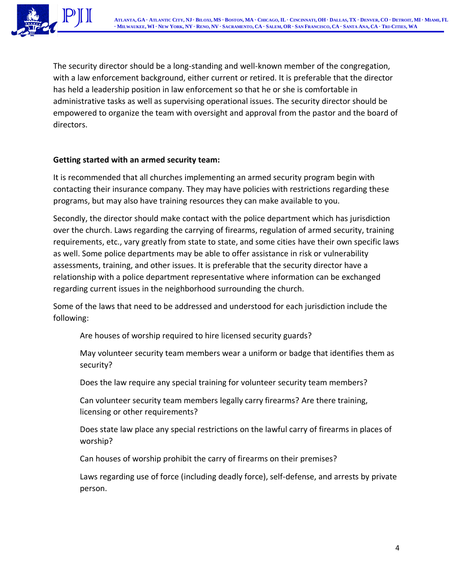

The security director should be a long-standing and well-known member of the congregation, with a law enforcement background, either current or retired. It is preferable that the director has held a leadership position in law enforcement so that he or she is comfortable in administrative tasks as well as supervising operational issues. The security director should be empowered to organize the team with oversight and approval from the pastor and the board of directors.

#### **Getting started with an armed security team:**

It is recommended that all churches implementing an armed security program begin with contacting their insurance company. They may have policies with restrictions regarding these programs, but may also have training resources they can make available to you.

Secondly, the director should make contact with the police department which has jurisdiction over the church. Laws regarding the carrying of firearms, regulation of armed security, training requirements, etc., vary greatly from state to state, and some cities have their own specific laws as well. Some police departments may be able to offer assistance in risk or vulnerability assessments, training, and other issues. It is preferable that the security director have a relationship with a police department representative where information can be exchanged regarding current issues in the neighborhood surrounding the church.

Some of the laws that need to be addressed and understood for each jurisdiction include the following:

Are houses of worship required to hire licensed security guards?

May volunteer security team members wear a uniform or badge that identifies them as security?

Does the law require any special training for volunteer security team members?

Can volunteer security team members legally carry firearms? Are there training, licensing or other requirements?

Does state law place any special restrictions on the lawful carry of firearms in places of worship?

Can houses of worship prohibit the carry of firearms on their premises?

Laws regarding use of force (including deadly force), self-defense, and arrests by private person.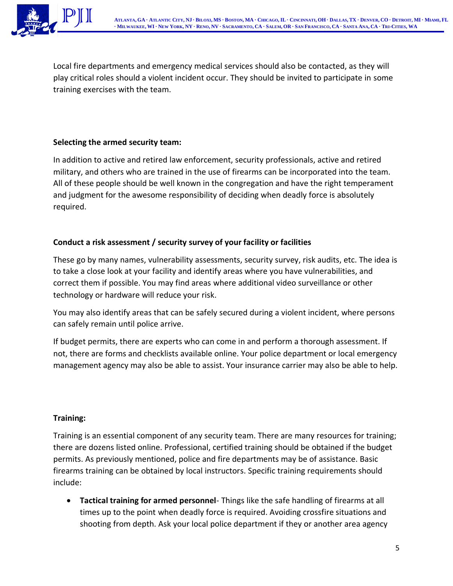

Local fire departments and emergency medical services should also be contacted, as they will play critical roles should a violent incident occur. They should be invited to participate in some training exercises with the team.

## **Selecting the armed security team:**

In addition to active and retired law enforcement, security professionals, active and retired military, and others who are trained in the use of firearms can be incorporated into the team. All of these people should be well known in the congregation and have the right temperament and judgment for the awesome responsibility of deciding when deadly force is absolutely required.

# **Conduct a risk assessment / security survey of your facility or facilities**

These go by many names, vulnerability assessments, security survey, risk audits, etc. The idea is to take a close look at your facility and identify areas where you have vulnerabilities, and correct them if possible. You may find areas where additional video surveillance or other technology or hardware will reduce your risk.

You may also identify areas that can be safely secured during a violent incident, where persons can safely remain until police arrive.

If budget permits, there are experts who can come in and perform a thorough assessment. If not, there are forms and checklists available online. Your police department or local emergency management agency may also be able to assist. Your insurance carrier may also be able to help.

# **Training:**

Training is an essential component of any security team. There are many resources for training; there are dozens listed online. Professional, certified training should be obtained if the budget permits. As previously mentioned, police and fire departments may be of assistance. Basic firearms training can be obtained by local instructors. Specific training requirements should include:

• **Tactical training for armed personnel**- Things like the safe handling of firearms at all times up to the point when deadly force is required. Avoiding crossfire situations and shooting from depth. Ask your local police department if they or another area agency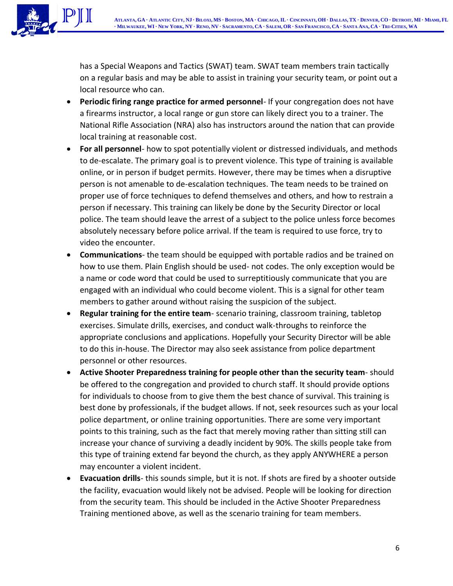

has a Special Weapons and Tactics (SWAT) team. SWAT team members train tactically on a regular basis and may be able to assist in training your security team, or point out a local resource who can.

- **Periodic firing range practice for armed personnel** If your congregation does not have a firearms instructor, a local range or gun store can likely direct you to a trainer. The National Rifle Association (NRA) also has instructors around the nation that can provide local training at reasonable cost.
- **For all personnel** how to spot potentially violent or distressed individuals, and methods to de-escalate. The primary goal is to prevent violence. This type of training is available online, or in person if budget permits. However, there may be times when a disruptive person is not amenable to de-escalation techniques. The team needs to be trained on proper use of force techniques to defend themselves and others, and how to restrain a person if necessary. This training can likely be done by the Security Director or local police. The team should leave the arrest of a subject to the police unless force becomes absolutely necessary before police arrival. If the team is required to use force, try to video the encounter.
- **Communications** the team should be equipped with portable radios and be trained on how to use them. Plain English should be used- not codes. The only exception would be a name or code word that could be used to surreptitiously communicate that you are engaged with an individual who could become violent. This is a signal for other team members to gather around without raising the suspicion of the subject.
- **Regular training for the entire team** scenario training, classroom training, tabletop exercises. Simulate drills, exercises, and conduct walk-throughs to reinforce the appropriate conclusions and applications. Hopefully your Security Director will be able to do this in-house. The Director may also seek assistance from police department personnel or other resources.
- **Active Shooter Preparedness training for people other than the security team** should be offered to the congregation and provided to church staff. It should provide options for individuals to choose from to give them the best chance of survival. This training is best done by professionals, if the budget allows. If not, seek resources such as your local police department, or online training opportunities. There are some very important points to this training, such as the fact that merely moving rather than sitting still can increase your chance of surviving a deadly incident by 90%. The skills people take from this type of training extend far beyond the church, as they apply ANYWHERE a person may encounter a violent incident.
- **Evacuation drills** this sounds simple, but it is not. If shots are fired by a shooter outside the facility, evacuation would likely not be advised. People will be looking for direction from the security team. This should be included in the Active Shooter Preparedness Training mentioned above, as well as the scenario training for team members.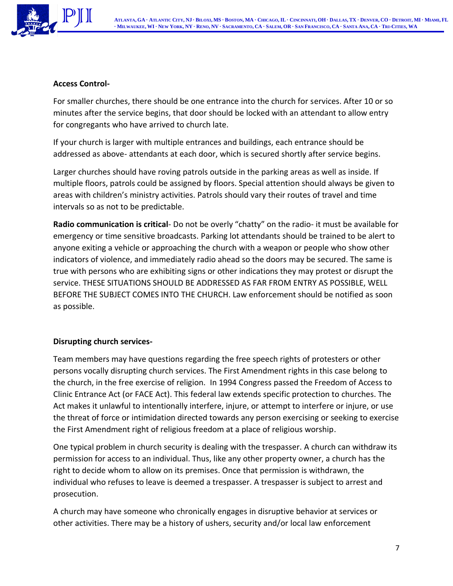

## **Access Control-**

For smaller churches, there should be one entrance into the church for services. After 10 or so minutes after the service begins, that door should be locked with an attendant to allow entry for congregants who have arrived to church late.

If your church is larger with multiple entrances and buildings, each entrance should be addressed as above- attendants at each door, which is secured shortly after service begins.

Larger churches should have roving patrols outside in the parking areas as well as inside. If multiple floors, patrols could be assigned by floors. Special attention should always be given to areas with children's ministry activities. Patrols should vary their routes of travel and time intervals so as not to be predictable.

**Radio communication is critical**- Do not be overly "chatty" on the radio- it must be available for emergency or time sensitive broadcasts. Parking lot attendants should be trained to be alert to anyone exiting a vehicle or approaching the church with a weapon or people who show other indicators of violence, and immediately radio ahead so the doors may be secured. The same is true with persons who are exhibiting signs or other indications they may protest or disrupt the service. THESE SITUATIONS SHOULD BE ADDRESSED AS FAR FROM ENTRY AS POSSIBLE, WELL BEFORE THE SUBJECT COMES INTO THE CHURCH. Law enforcement should be notified as soon as possible.

# **Disrupting church services-**

Team members may have questions regarding the free speech rights of protesters or other persons vocally disrupting church services. The First Amendment rights in this case belong to the church, in the free exercise of religion. In 1994 Congress passed the Freedom of Access to Clinic Entrance Act (or FACE Act). This federal law extends specific protection to churches. The Act makes it unlawful to intentionally interfere, injure, or attempt to interfere or injure, or use the threat of force or intimidation directed towards any person exercising or seeking to exercise the First Amendment right of religious freedom at a place of religious worship.

One typical problem in church security is dealing with the trespasser. A church can withdraw its permission for access to an individual. Thus, like any other property owner, a church has the right to decide whom to allow on its premises. Once that permission is withdrawn, the individual who refuses to leave is deemed a trespasser. A trespasser is subject to arrest and prosecution.

A church may have someone who chronically engages in disruptive behavior at services or other activities. There may be a history of ushers, security and/or local law enforcement